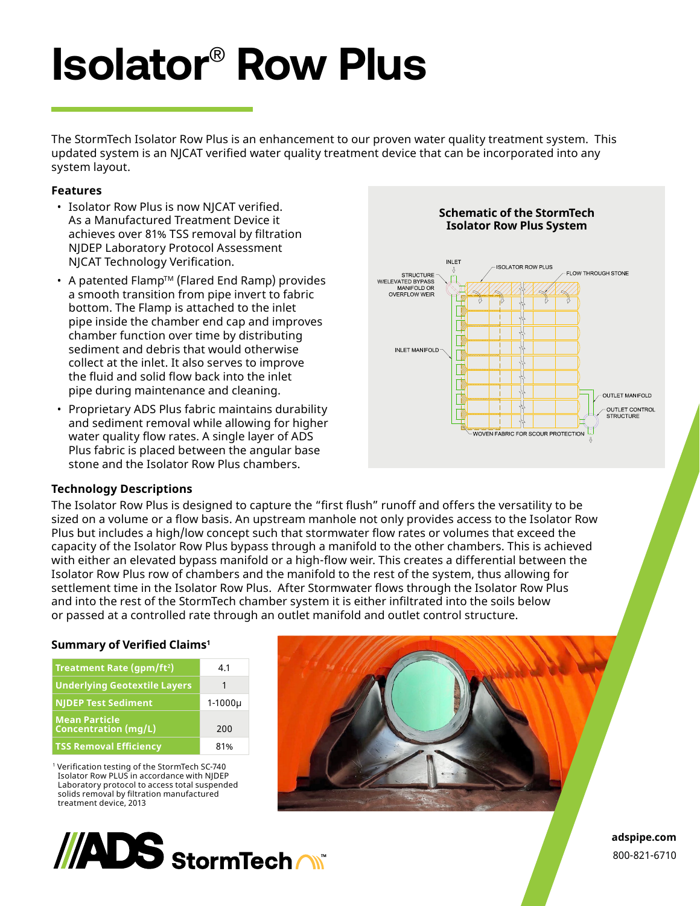# **Isolator**®  **Row Plus**

The StormTech Isolator Row Plus is an enhancement to our proven water quality treatment system. This updated system is an NJCAT verified water quality treatment device that can be incorporated into any system layout.

#### **Features**

- Isolator Row Plus is now NJCAT verified. As a Manufactured Treatment Device it achieves over 81% TSS removal by filtration NJDEP Laboratory Protocol Assessment NJCAT Technology Verification.
- A patented Flamp™ (Flared End Ramp) provides a smooth transition from pipe invert to fabric bottom. The Flamp is attached to the inlet pipe inside the chamber end cap and improves chamber function over time by distributing sediment and debris that would otherwise collect at the inlet. It also serves to improve the fluid and solid flow back into the inlet pipe during maintenance and cleaning.
- Proprietary ADS Plus fabric maintains durability and sediment removal while allowing for higher water quality flow rates. A single layer of ADS Plus fabric is placed between the angular base stone and the Isolator Row Plus chambers.

## **Technology Descriptions**

The Isolator Row Plus is designed to capture the "first flush" runoff and offers the versatility to be sized on a volume or a flow basis. An upstream manhole not only provides access to the Isolator Row Plus but includes a high/low concept such that stormwater flow rates or volumes that exceed the capacity of the Isolator Row Plus bypass through a manifold to the other chambers. This is achieved with either an elevated bypass manifold or a high-flow weir. This creates a differential between the Isolator Row Plus row of chambers and the manifold to the rest of the system, thus allowing for settlement time in the Isolator Row Plus. After Stormwater flows through the Isolator Row Plus and into the rest of the StormTech chamber system it is either infiltrated into the soils below or passed at a controlled rate through an outlet manifold and outlet control structure.

## **Summary of Verified Claims<sup>1</sup>**

| Treatment Rate (gpm/ft <sup>2</sup> )               | 4.1         |
|-----------------------------------------------------|-------------|
| <b>Underlying Geotextile Layers</b>                 | 1           |
| <b>NJDEP Test Sediment</b>                          | $1-1000\mu$ |
| <b>Mean Particle</b><br><b>Concentration (mg/L)</b> | 200         |
| <b>TSS Removal Efficiency</b>                       | 81%         |

1 Verification testing of the StormTech SC-740 Isolator Row PLUS in accordance with NJDEP Laboratory protocol to access total suspended solids removal by filtration manufactured treatment device, 2013









**adspipe.com** 800-821-6710